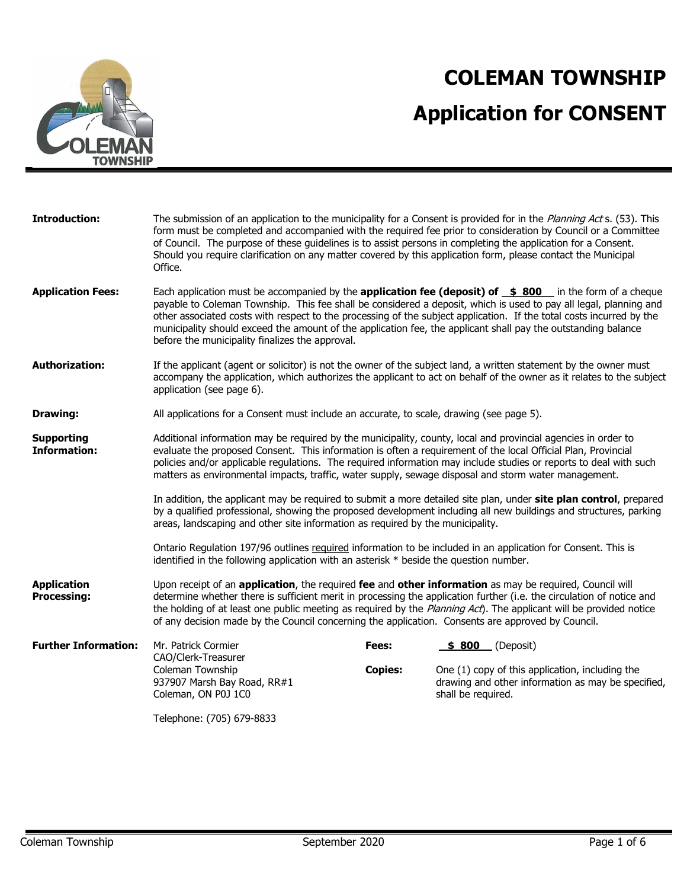

# **COLEMAN TOWNSHIP Application for CONSENT**

| <b>Introduction:</b>                     | of Council. The purpose of these guidelines is to assist persons in completing the application for a Consent.<br>Should you require clarification on any matter covered by this application form, please contact the Municipal<br>Office.                                                                                              |                | The submission of an application to the municipality for a Consent is provided for in the Planning Acts. (53). This<br>form must be completed and accompanied with the required fee prior to consideration by Council or a Committee                                                                                                                                                                                                                                        |
|------------------------------------------|----------------------------------------------------------------------------------------------------------------------------------------------------------------------------------------------------------------------------------------------------------------------------------------------------------------------------------------|----------------|-----------------------------------------------------------------------------------------------------------------------------------------------------------------------------------------------------------------------------------------------------------------------------------------------------------------------------------------------------------------------------------------------------------------------------------------------------------------------------|
| <b>Application Fees:</b>                 | before the municipality finalizes the approval.                                                                                                                                                                                                                                                                                        |                | Each application must be accompanied by the <b>application fee (deposit) of \$800</b> in the form of a cheque<br>payable to Coleman Township. This fee shall be considered a deposit, which is used to pay all legal, planning and<br>other associated costs with respect to the processing of the subject application. If the total costs incurred by the<br>municipality should exceed the amount of the application fee, the applicant shall pay the outstanding balance |
| <b>Authorization:</b>                    | application (see page 6).                                                                                                                                                                                                                                                                                                              |                | If the applicant (agent or solicitor) is not the owner of the subject land, a written statement by the owner must<br>accompany the application, which authorizes the applicant to act on behalf of the owner as it relates to the subject                                                                                                                                                                                                                                   |
| <b>Drawing:</b>                          | All applications for a Consent must include an accurate, to scale, drawing (see page 5).                                                                                                                                                                                                                                               |                |                                                                                                                                                                                                                                                                                                                                                                                                                                                                             |
| <b>Supporting</b><br><b>Information:</b> | Additional information may be required by the municipality, county, local and provincial agencies in order to<br>evaluate the proposed Consent. This information is often a requirement of the local Official Plan, Provincial<br>matters as environmental impacts, traffic, water supply, sewage disposal and storm water management. |                | policies and/or applicable regulations. The required information may include studies or reports to deal with such                                                                                                                                                                                                                                                                                                                                                           |
|                                          | areas, landscaping and other site information as required by the municipality.                                                                                                                                                                                                                                                         |                | In addition, the applicant may be required to submit a more detailed site plan, under site plan control, prepared<br>by a qualified professional, showing the proposed development including all new buildings and structures, parking                                                                                                                                                                                                                                      |
|                                          | Ontario Regulation 197/96 outlines required information to be included in an application for Consent. This is<br>identified in the following application with an asterisk * beside the question number.                                                                                                                                |                |                                                                                                                                                                                                                                                                                                                                                                                                                                                                             |
| <b>Application</b><br><b>Processing:</b> | Upon receipt of an application, the required fee and other information as may be required, Council will<br>of any decision made by the Council concerning the application. Consents are approved by Council.                                                                                                                           |                | determine whether there is sufficient merit in processing the application further (i.e. the circulation of notice and<br>the holding of at least one public meeting as required by the Planning Act). The applicant will be provided notice                                                                                                                                                                                                                                 |
| <b>Further Information:</b>              | Mr. Patrick Cormier<br>CAO/Clerk-Treasurer                                                                                                                                                                                                                                                                                             | Fees:          | _(Deposit)<br>\$ 800                                                                                                                                                                                                                                                                                                                                                                                                                                                        |
|                                          | Coleman Township<br>937907 Marsh Bay Road, RR#1<br>Coleman, ON P0J 1C0                                                                                                                                                                                                                                                                 | <b>Copies:</b> | One (1) copy of this application, including the<br>drawing and other information as may be specified,<br>shall be required.                                                                                                                                                                                                                                                                                                                                                 |
|                                          | Telephone: (705) 679-8833                                                                                                                                                                                                                                                                                                              |                |                                                                                                                                                                                                                                                                                                                                                                                                                                                                             |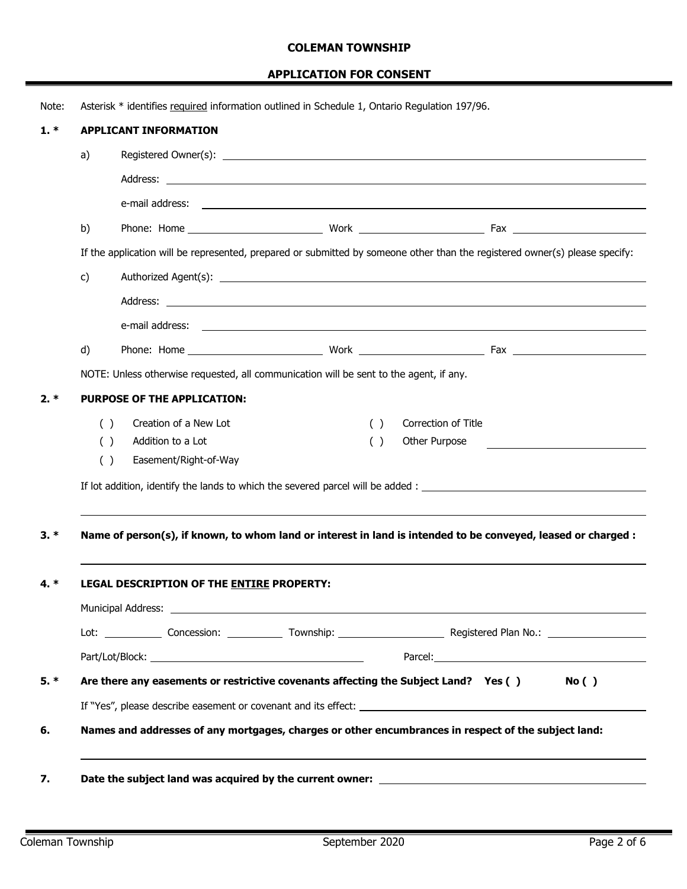|    |     | Asterisk * identifies required information outlined in Schedule 1, Ontario Requlation 197/96.                                                                                                                                        |     |                     |                                            |  |
|----|-----|--------------------------------------------------------------------------------------------------------------------------------------------------------------------------------------------------------------------------------------|-----|---------------------|--------------------------------------------|--|
|    |     | <b>APPLICANT INFORMATION</b>                                                                                                                                                                                                         |     |                     |                                            |  |
|    | a)  |                                                                                                                                                                                                                                      |     |                     |                                            |  |
|    |     |                                                                                                                                                                                                                                      |     |                     |                                            |  |
|    |     | e-mail address: <u>example and a series of the series of the series of the series of the series of the series of the series of the series of the series of the series of the series of the series of the series of the series of</u> |     |                     |                                            |  |
|    | b)  |                                                                                                                                                                                                                                      |     |                     |                                            |  |
|    |     | If the application will be represented, prepared or submitted by someone other than the registered owner(s) please specify:                                                                                                          |     |                     |                                            |  |
| c) |     |                                                                                                                                                                                                                                      |     |                     |                                            |  |
|    |     | Address: <u>example and a series of the series of the series of the series of the series of the series of the series of the series of the series of the series of the series of the series of the series of the series of the se</u> |     |                     |                                            |  |
|    |     | e-mail address: <u>example and a series of the series of the series of the series of the series of the series of the series of the series of the series of the series of the series of the series of the series of the series of</u> |     |                     |                                            |  |
|    | d)  |                                                                                                                                                                                                                                      |     |                     |                                            |  |
|    |     | NOTE: Unless otherwise requested, all communication will be sent to the agent, if any.                                                                                                                                               |     |                     |                                            |  |
|    |     | <b>PURPOSE OF THE APPLICATION:</b>                                                                                                                                                                                                   |     |                     |                                            |  |
|    | ( ) | Creation of a New Lot                                                                                                                                                                                                                | ( ) | Correction of Title |                                            |  |
|    | ( ) | Addition to a Lot                                                                                                                                                                                                                    | ( ) | Other Purpose       | <u> 1989 - Johann Barn, mars ann an t-</u> |  |
|    | ( ) | Easement/Right-of-Way                                                                                                                                                                                                                |     |                     |                                            |  |
|    |     |                                                                                                                                                                                                                                      |     |                     |                                            |  |
|    |     |                                                                                                                                                                                                                                      |     |                     |                                            |  |
|    |     | Name of person(s), if known, to whom land or interest in land is intended to be conveyed, leased or charged :<br>LEGAL DESCRIPTION OF THE ENTIRE PROPERTY:                                                                           |     |                     |                                            |  |
|    |     |                                                                                                                                                                                                                                      |     |                     |                                            |  |
|    |     |                                                                                                                                                                                                                                      |     |                     |                                            |  |
|    |     |                                                                                                                                                                                                                                      |     |                     |                                            |  |
|    |     | Are there any easements or restrictive covenants affecting the Subject Land? Yes ()                                                                                                                                                  |     |                     | No()                                       |  |
|    |     | If "Yes", please describe easement or covenant and its effect: example and its example and its effect:<br>Names and addresses of any mortgages, charges or other encumbrances in respect of the subject land:                        |     |                     |                                            |  |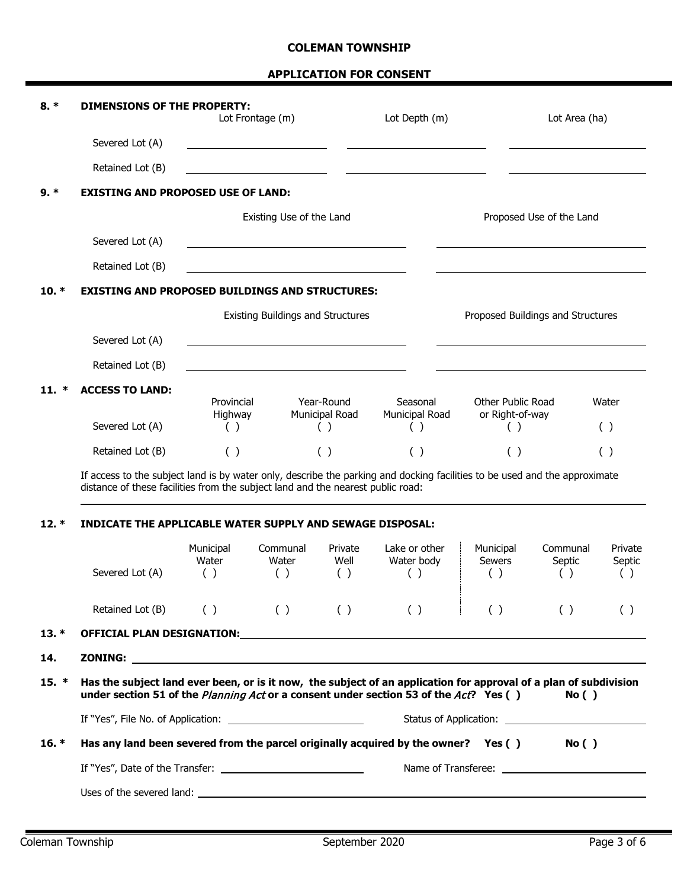| $8. *$  | <b>DIMENSIONS OF THE PROPERTY:</b>                                                                                                                                                                            |                           | Lot Frontage (m)                         |                        | Lot Depth (m)                      |                                   | Lot Area (ha)                     |                          |
|---------|---------------------------------------------------------------------------------------------------------------------------------------------------------------------------------------------------------------|---------------------------|------------------------------------------|------------------------|------------------------------------|-----------------------------------|-----------------------------------|--------------------------|
|         | Severed Lot (A)                                                                                                                                                                                               |                           |                                          |                        |                                    |                                   |                                   |                          |
|         | Retained Lot (B)                                                                                                                                                                                              |                           |                                          |                        |                                    |                                   |                                   |                          |
| $9.*$   | <b>EXISTING AND PROPOSED USE OF LAND:</b>                                                                                                                                                                     |                           |                                          |                        |                                    |                                   |                                   |                          |
|         |                                                                                                                                                                                                               |                           | Existing Use of the Land                 |                        |                                    |                                   | Proposed Use of the Land          |                          |
|         | Severed Lot (A)                                                                                                                                                                                               |                           |                                          |                        |                                    |                                   |                                   |                          |
|         | Retained Lot (B)                                                                                                                                                                                              |                           |                                          |                        |                                    |                                   |                                   |                          |
| 10. $*$ | <b>EXISTING AND PROPOSED BUILDINGS AND STRUCTURES:</b>                                                                                                                                                        |                           |                                          |                        |                                    |                                   |                                   |                          |
|         |                                                                                                                                                                                                               |                           | <b>Existing Buildings and Structures</b> |                        |                                    |                                   | Proposed Buildings and Structures |                          |
|         | Severed Lot (A)                                                                                                                                                                                               |                           |                                          |                        |                                    |                                   |                                   |                          |
|         | Retained Lot (B)                                                                                                                                                                                              |                           |                                          |                        |                                    |                                   |                                   |                          |
| 11.     | <b>ACCESS TO LAND:</b>                                                                                                                                                                                        | Provincial                |                                          | Year-Round             | Seasonal                           | Other Public Road                 |                                   | Water                    |
|         | Severed Lot (A)                                                                                                                                                                                               | Highway<br>( )            |                                          | Municipal Road<br>( )  | Municipal Road<br>( )              | or Right-of-way<br>( )            |                                   | ( )                      |
|         | Retained Lot (B)                                                                                                                                                                                              | ( )                       |                                          | ( )                    | ( )                                | ( )                               |                                   | ( )                      |
|         | If access to the subject land is by water only, describe the parking and docking facilities to be used and the approximate<br>distance of these facilities from the subject land and the nearest public road: |                           |                                          |                        |                                    |                                   |                                   |                          |
| $12. *$ | <b>INDICATE THE APPLICABLE WATER SUPPLY AND SEWAGE DISPOSAL:</b>                                                                                                                                              |                           |                                          |                        |                                    |                                   |                                   |                          |
|         | Severed Lot (A)                                                                                                                                                                                               | Municipal<br>Water<br>( ) | Communal<br>Water<br>( )                 | Private<br>Well<br>( ) | Lake or other<br>Water body<br>( ) | Municipal<br><b>Sewers</b><br>( ) | Communal<br>Septic<br>(           | Private<br>Septic<br>( ) |
|         | Retained Lot $(B)$ ( ) ( ) ( ) ( ) ( ) ( )                                                                                                                                                                    |                           |                                          |                        |                                    |                                   | ( )                               | ( )                      |
| $13. *$ |                                                                                                                                                                                                               |                           |                                          |                        |                                    |                                   |                                   |                          |
| 14.     |                                                                                                                                                                                                               |                           |                                          |                        |                                    |                                   |                                   |                          |
| $15. *$ | Has the subject land ever been, or is it now, the subject of an application for approval of a plan of subdivision<br>under section 51 of the Planning Act or a consent under section 53 of the Act? Yes ()    |                           |                                          |                        |                                    |                                   | No()                              |                          |
|         |                                                                                                                                                                                                               |                           |                                          |                        |                                    |                                   |                                   |                          |
| $16. *$ | Has any land been severed from the parcel originally acquired by the owner? Yes () No ()                                                                                                                      |                           |                                          |                        |                                    |                                   |                                   |                          |
|         |                                                                                                                                                                                                               |                           |                                          |                        |                                    |                                   |                                   |                          |
|         |                                                                                                                                                                                                               |                           |                                          |                        |                                    |                                   |                                   |                          |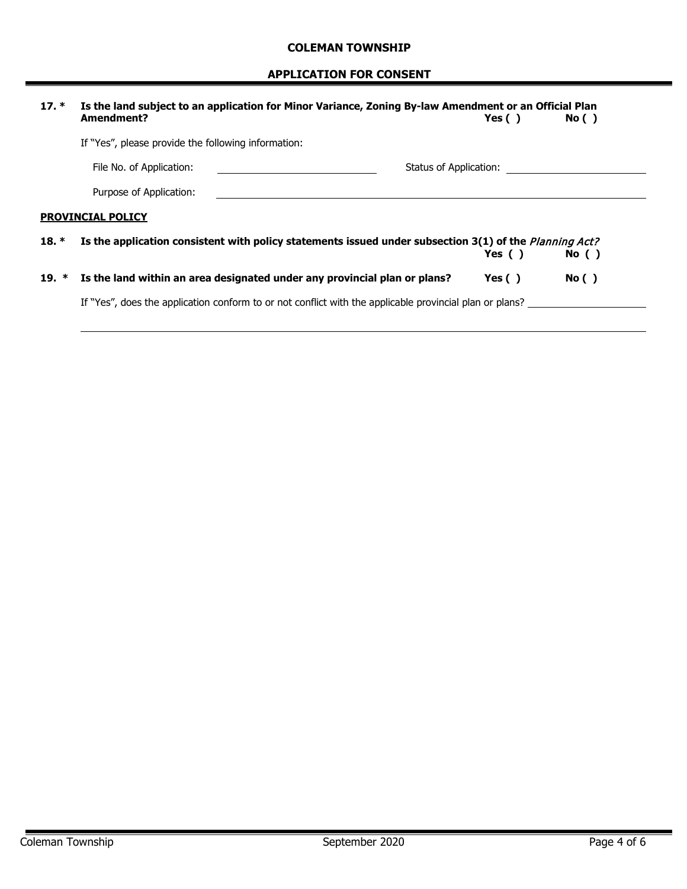| $17. *$ | Is the land subject to an application for Minor Variance, Zoning By-law Amendment or an Official Plan<br>Amendment? | Yes $( )$              | No()  |
|---------|---------------------------------------------------------------------------------------------------------------------|------------------------|-------|
|         | If "Yes", please provide the following information:                                                                 |                        |       |
|         | File No. of Application:                                                                                            | Status of Application: |       |
|         | Purpose of Application:                                                                                             |                        |       |
|         | <b>PROVINCIAL POLICY</b>                                                                                            |                        |       |
| $18. *$ | Is the application consistent with policy statements issued under subsection 3(1) of the <i>Planning Act?</i>       | Yes $( )$              | No( ) |
| 19. $*$ | Is the land within an area designated under any provincial plan or plans?                                           | Yes $( )$              | No()  |
|         | If "Yes", does the application conform to or not conflict with the applicable provincial plan or plans?             |                        |       |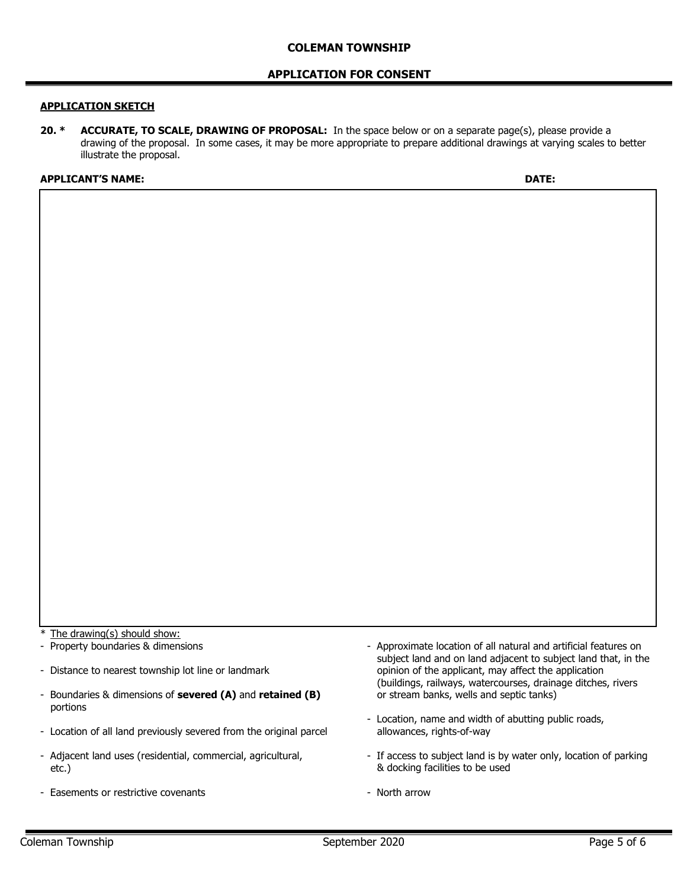#### **APPLICATION FOR CONSENT**

#### **APPLICATION SKETCH**

**20. \* ACCURATE, TO SCALE, DRAWING OF PROPOSAL:** In the space below or on a separate page(s), please provide a drawing of the proposal. In some cases, it may be more appropriate to prepare additional drawings at varying scales to better illustrate the proposal.

#### **APPLICANT'S NAME: DATE:**

The drawing(s) should show:

- Property boundaries & dimensions
- Distance to nearest township lot line or landmark
- Boundaries & dimensions of **severed (A)** and **retained (B)** portions
- Location of all land previously severed from the original parcel
- Adjacent land uses (residential, commercial, agricultural, etc.)
- Easements or restrictive covenants
- Approximate location of all natural and artificial features on subject land and on land adjacent to subject land that, in the opinion of the applicant, may affect the application (buildings, railways, watercourses, drainage ditches, rivers or stream banks, wells and septic tanks)
- Location, name and width of abutting public roads, allowances, rights-of-way
- If access to subject land is by water only, location of parking & docking facilities to be used
- North arrow